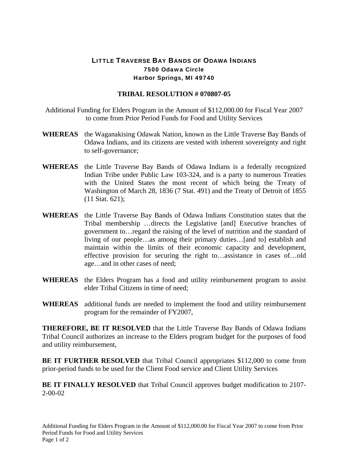## LITTLE TRAVERSE BAY BANDS OF ODAWA INDIANS 7500 Odawa Circle Harbor Springs, MI 49740

## **TRIBAL RESOLUTION # 070807-05**

- Additional Funding for Elders Program in the Amount of \$112,000.00 for Fiscal Year 2007 to come from Prior Period Funds for Food and Utility Services
- **WHEREAS** the Waganakising Odawak Nation, known as the Little Traverse Bay Bands of Odawa Indians, and its citizens are vested with inherent sovereignty and right to self-governance;
- **WHEREAS** the Little Traverse Bay Bands of Odawa Indians is a federally recognized Indian Tribe under Public Law 103-324, and is a party to numerous Treaties with the United States the most recent of which being the Treaty of Washington of March 28, 1836 (7 Stat. 491) and the Treaty of Detroit of 1855 (11 Stat. 621);
- **WHEREAS** the Little Traverse Bay Bands of Odawa Indians Constitution states that the Tribal membership …directs the Legislative [and] Executive branches of government to…regard the raising of the level of nutrition and the standard of living of our people…as among their primary duties…[and to] establish and maintain within the limits of their economic capacity and development, effective provision for securing the right to…assistance in cases of…old age…and in other cases of need;
- **WHEREAS** the Elders Program has a food and utility reimbursement program to assist elder Tribal Citizens in time of need;
- **WHEREAS** additional funds are needed to implement the food and utility reimbursement program for the remainder of FY2007,

**THEREFORE, BE IT RESOLVED** that the Little Traverse Bay Bands of Odawa Indians Tribal Council authorizes an increase to the Elders program budget for the purposes of food and utility reimbursement,

**BE IT FURTHER RESOLVED** that Tribal Council appropriates \$112,000 to come from prior-period funds to be used for the Client Food service and Client Utility Services

**BE IT FINALLY RESOLVED** that Tribal Council approves budget modification to 2107- 2-00-02